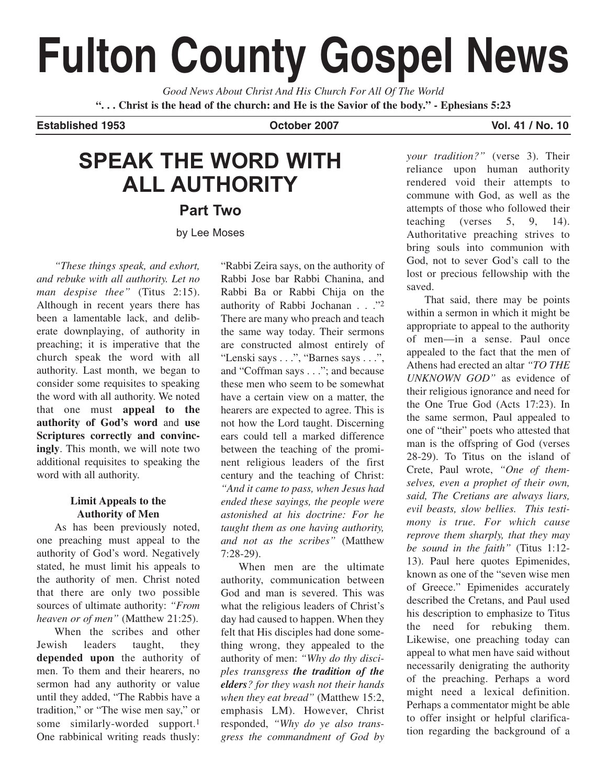# **Fulton County Gospel News**

*Good News About Christ And His Church For All Of The World* **". . . Christ is the head of the church: and He is the Savior of the body." - Ephesians 5:23**

**Established 1953 October 2007 Vol. 41 / No. 10**

# **SPEAK THE WORD WITH ALL AUTHORITY**

**Part Two**

by Lee Moses

*"These things speak, and exhort, and rebuke with all authority. Let no man despise thee"* (Titus 2:15). Although in recent years there has been a lamentable lack, and deliberate downplaying, of authority in preaching; it is imperative that the church speak the word with all authority. Last month, we began to consider some requisites to speaking the word with all authority. We noted that one must **appeal to the authority of God's word** and **use Scriptures correctly and convincingly**. This month, we will note two additional requisites to speaking the word with all authority.

## **Limit Appeals to the Authority of Men**

As has been previously noted, one preaching must appeal to the authority of God's word. Negatively stated, he must limit his appeals to the authority of men. Christ noted that there are only two possible sources of ultimate authority: *"From heaven or of men"* (Matthew 21:25).

When the scribes and other Jewish leaders taught, they **depended upon** the authority of men. To them and their hearers, no sermon had any authority or value until they added, "The Rabbis have a tradition," or "The wise men say," or some similarly-worded support.<sup>1</sup> One rabbinical writing reads thusly: "Rabbi Zeira says, on the authority of Rabbi Jose bar Rabbi Chanina, and Rabbi Ba or Rabbi Chija on the authority of Rabbi Jochanan . . ."2 There are many who preach and teach the same way today. Their sermons are constructed almost entirely of "Lenski says . . .", "Barnes says . . .", and "Coffman says . . ."; and because these men who seem to be somewhat have a certain view on a matter, the hearers are expected to agree. This is not how the Lord taught. Discerning ears could tell a marked difference between the teaching of the prominent religious leaders of the first century and the teaching of Christ: *"And it came to pass, when Jesus had ended these sayings, the people were astonished at his doctrine: For he taught them as one having authority, and not as the scribes"* (Matthew 7:28-29).

When men are the ultimate authority, communication between God and man is severed. This was what the religious leaders of Christ's day had caused to happen. When they felt that His disciples had done something wrong, they appealed to the authority of men: *"Why do thy disciples transgress the tradition of the elders? for they wash not their hands when they eat bread"* (Matthew 15:2, emphasis LM). However, Christ responded, *"Why do ye also transgress the commandment of God by* *your tradition?"* (verse 3). Their reliance upon human authority rendered void their attempts to commune with God, as well as the attempts of those who followed their teaching (verses 5, 9, 14). Authoritative preaching strives to bring souls into communion with God, not to sever God's call to the lost or precious fellowship with the saved.

That said, there may be points within a sermon in which it might be appropriate to appeal to the authority of men—in a sense. Paul once appealed to the fact that the men of Athens had erected an altar *"TO THE UNKNOWN GOD"* as evidence of their religious ignorance and need for the One True God (Acts 17:23). In the same sermon, Paul appealed to one of "their" poets who attested that man is the offspring of God (verses 28-29). To Titus on the island of Crete, Paul wrote, *"One of themselves, even a prophet of their own, said, The Cretians are always liars, evil beasts, slow bellies. This testimony is true. For which cause reprove them sharply, that they may be sound in the faith"* (Titus 1:12- 13). Paul here quotes Epimenides, known as one of the "seven wise men of Greece." Epimenides accurately described the Cretans, and Paul used his description to emphasize to Titus the need for rebuking them. Likewise, one preaching today can appeal to what men have said without necessarily denigrating the authority of the preaching. Perhaps a word might need a lexical definition. Perhaps a commentator might be able to offer insight or helpful clarification regarding the background of a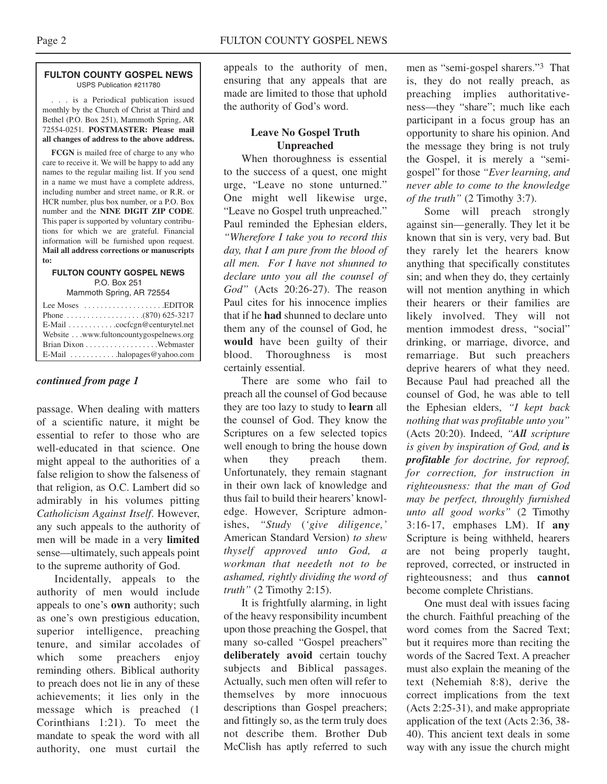#### **FULTON COUNTY GOSPEL NEWS** USPS Publication #211780

. . . is a Periodical publication issued monthly by the Church of Christ at Third and Bethel (P.O. Box 251), Mammoth Spring, AR 72554-0251. **POSTMASTER: Please mail all changes of address to the above address.**

**FCGN** is mailed free of charge to any who care to receive it. We will be happy to add any names to the regular mailing list. If you send in a name we must have a complete address, including number and street name, or R.R. or HCR number, plus box number, or a P.O. Box number and the **NINE DIGIT ZIP CODE**. This paper is supported by voluntary contributions for which we are grateful. Financial information will be furnished upon request. **Mail all address corrections or manuscripts to:**

#### **FULTON COUNTY GOSPEL NEWS** P.O. Box 251

Mammoth Spring, AR 72554

| Lee Moses $\dots \dots \dots \dots \dots$ . EDITOR     |  |
|--------------------------------------------------------|--|
|                                                        |  |
| E-Mail cocfcgn@centurytel.net                          |  |
| Website www.fultoncountygospelnews.org                 |  |
|                                                        |  |
| $E$ -Mail $\ldots \ldots \ldots$ halopages @ vahoo.com |  |

#### *continued from page 1*

passage. When dealing with matters of a scientific nature, it might be essential to refer to those who are well-educated in that science. One might appeal to the authorities of a false religion to show the falseness of that religion, as O.C. Lambert did so admirably in his volumes pitting *Catholicism Against Itself*. However, any such appeals to the authority of men will be made in a very **limited** sense—ultimately, such appeals point to the supreme authority of God.

Incidentally, appeals to the authority of men would include appeals to one's **own** authority; such as one's own prestigious education, superior intelligence, preaching tenure, and similar accolades of which some preachers enjoy reminding others. Biblical authority to preach does not lie in any of these achievements; it lies only in the message which is preached (1 Corinthians 1:21). To meet the mandate to speak the word with all authority, one must curtail the

appeals to the authority of men, ensuring that any appeals that are made are limited to those that uphold the authority of God's word.

## **Leave No Gospel Truth Unpreached**

When thoroughness is essential to the success of a quest, one might urge, "Leave no stone unturned." One might well likewise urge, "Leave no Gospel truth unpreached." Paul reminded the Ephesian elders, *"Wherefore I take you to record this day, that I am pure from the blood of all men. For I have not shunned to declare unto you all the counsel of God"* (Acts 20:26-27). The reason Paul cites for his innocence implies that if he **had** shunned to declare unto them any of the counsel of God, he **would** have been guilty of their blood. Thoroughness is most certainly essential.

There are some who fail to preach all the counsel of God because they are too lazy to study to **learn** all the counsel of God. They know the Scriptures on a few selected topics well enough to bring the house down when they preach them. Unfortunately, they remain stagnant in their own lack of knowledge and thus fail to build their hearers' knowledge. However, Scripture admonishes, *"Study* (*'give diligence,'* American Standard Version) *to shew thyself approved unto God, a workman that needeth not to be ashamed, rightly dividing the word of truth"* (2 Timothy 2:15).

It is frightfully alarming, in light of the heavy responsibility incumbent upon those preaching the Gospel, that many so-called "Gospel preachers" **deliberately avoid** certain touchy subjects and Biblical passages. Actually, such men often will refer to themselves by more innocuous descriptions than Gospel preachers; and fittingly so, as the term truly does not describe them. Brother Dub McClish has aptly referred to such men as "semi-gospel sharers."3 That is, they do not really preach, as preaching implies authoritativeness—they "share"; much like each participant in a focus group has an opportunity to share his opinion. And the message they bring is not truly the Gospel, it is merely a "semigospel" for those *"Ever learning, and never able to come to the knowledge of the truth"* (2 Timothy 3:7).

Some will preach strongly against sin—generally. They let it be known that sin is very, very bad. But they rarely let the hearers know anything that specifically constitutes sin; and when they do, they certainly will not mention anything in which their hearers or their families are likely involved. They will not mention immodest dress, "social" drinking, or marriage, divorce, and remarriage. But such preachers deprive hearers of what they need. Because Paul had preached all the counsel of God, he was able to tell the Ephesian elders, *"I kept back nothing that was profitable unto you"* (Acts 20:20). Indeed, *"All scripture is given by inspiration of God, and is profitable for doctrine, for reproof, for correction, for instruction in righteousness: that the man of God may be perfect, throughly furnished unto all good works"* (2 Timothy 3:16-17, emphases LM). If **any** Scripture is being withheld, hearers are not being properly taught, reproved, corrected, or instructed in righteousness; and thus **cannot** become complete Christians.

One must deal with issues facing the church. Faithful preaching of the word comes from the Sacred Text; but it requires more than reciting the words of the Sacred Text. A preacher must also explain the meaning of the text (Nehemiah 8:8), derive the correct implications from the text (Acts 2:25-31), and make appropriate application of the text (Acts 2:36, 38- 40). This ancient text deals in some way with any issue the church might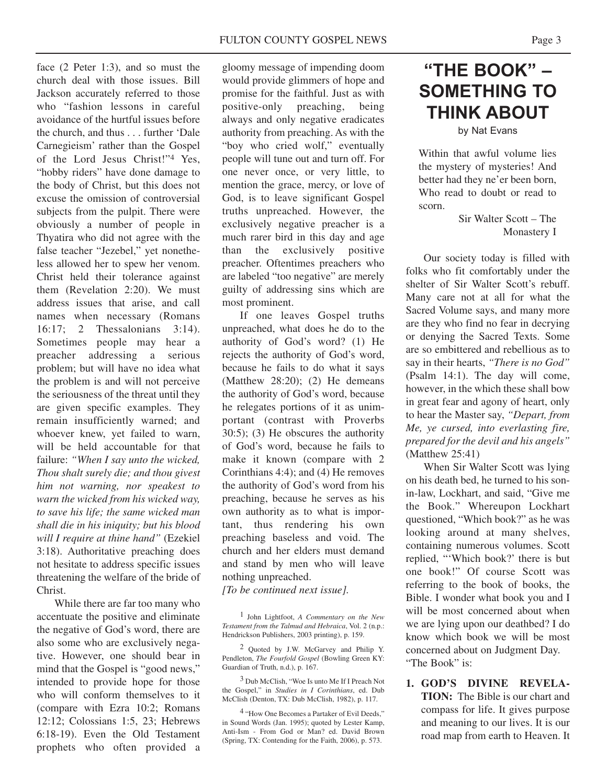face (2 Peter 1:3), and so must the church deal with those issues. Bill Jackson accurately referred to those who "fashion lessons in careful avoidance of the hurtful issues before the church, and thus . . . further 'Dale Carnegieism' rather than the Gospel of the Lord Jesus Christ!"4 Yes, "hobby riders" have done damage to the body of Christ, but this does not excuse the omission of controversial subjects from the pulpit. There were obviously a number of people in Thyatira who did not agree with the false teacher "Jezebel," yet nonetheless allowed her to spew her venom. Christ held their tolerance against them (Revelation 2:20). We must address issues that arise, and call names when necessary (Romans 16:17; 2 Thessalonians 3:14). Sometimes people may hear a preacher addressing a serious problem; but will have no idea what the problem is and will not perceive the seriousness of the threat until they are given specific examples. They remain insufficiently warned; and whoever knew, yet failed to warn, will be held accountable for that failure: *"When I say unto the wicked, Thou shalt surely die; and thou givest him not warning, nor speakest to warn the wicked from his wicked way, to save his life; the same wicked man shall die in his iniquity; but his blood will I require at thine hand"* (Ezekiel 3:18). Authoritative preaching does not hesitate to address specific issues threatening the welfare of the bride of Christ.

While there are far too many who accentuate the positive and eliminate the negative of God's word, there are also some who are exclusively negative. However, one should bear in mind that the Gospel is "good news," intended to provide hope for those who will conform themselves to it (compare with Ezra 10:2; Romans 12:12; Colossians 1:5, 23; Hebrews 6:18-19). Even the Old Testament prophets who often provided a gloomy message of impending doom would provide glimmers of hope and promise for the faithful. Just as with positive-only preaching, being always and only negative eradicates authority from preaching. As with the "boy who cried wolf," eventually people will tune out and turn off. For one never once, or very little, to mention the grace, mercy, or love of God, is to leave significant Gospel truths unpreached. However, the exclusively negative preacher is a much rarer bird in this day and age than the exclusively positive preacher. Oftentimes preachers who are labeled "too negative" are merely guilty of addressing sins which are most prominent.

If one leaves Gospel truths unpreached, what does he do to the authority of God's word? (1) He rejects the authority of God's word, because he fails to do what it says (Matthew 28:20); (2) He demeans the authority of God's word, because he relegates portions of it as unimportant (contrast with Proverbs 30:5); (3) He obscures the authority of God's word, because he fails to make it known (compare with 2 Corinthians 4:4); and (4) He removes the authority of God's word from his preaching, because he serves as his own authority as to what is important, thus rendering his own preaching baseless and void. The church and her elders must demand and stand by men who will leave nothing unpreached.

*[To be continued next issue].*

1 John Lightfoot, *A Commentary on the New Testament from the Talmud and Hebraica*, Vol. 2 (n.p.: Hendrickson Publishers, 2003 printing), p. 159.

2 Quoted by J.W. McGarvey and Philip Y. Pendleton, *The Fourfold Gospel* (Bowling Green KY: Guardian of Truth, n.d.), p. 167.

3 Dub McClish, "Woe Is unto Me If I Preach Not the Gospel," in *Studies in I Corinthians*, ed. Dub McClish (Denton, TX: Dub McClish, 1982), p. 117.

4 "How One Becomes a Partaker of Evil Deeds," in Sound Words (Jan. 1995); quoted by Lester Kamp, Anti-Ism - From God or Man? ed. David Brown (Spring, TX: Contending for the Faith, 2006), p. 573.

# **"THE BOOK" – SOMETHING TO THINK ABOUT**

by Nat Evans

Within that awful volume lies the mystery of mysteries! And better had they ne'er been born, Who read to doubt or read to scorn.

> Sir Walter Scott – The Monastery I

Our society today is filled with folks who fit comfortably under the shelter of Sir Walter Scott's rebuff. Many care not at all for what the Sacred Volume says, and many more are they who find no fear in decrying or denying the Sacred Texts. Some are so embittered and rebellious as to say in their hearts, *"There is no God"* (Psalm 14:1). The day will come, however, in the which these shall bow in great fear and agony of heart, only to hear the Master say, *"Depart, from Me, ye cursed, into everlasting fire, prepared for the devil and his angels"* (Matthew 25:41)

When Sir Walter Scott was lying on his death bed, he turned to his sonin-law, Lockhart, and said, "Give me the Book." Whereupon Lockhart questioned, "Which book?" as he was looking around at many shelves, containing numerous volumes. Scott replied, "'Which book?' there is but one book!" Of course Scott was referring to the book of books, the Bible. I wonder what book you and I will be most concerned about when we are lying upon our deathbed? I do know which book we will be most concerned about on Judgment Day. "The Book" is:

**GOD'S DIVINE REVELA-1.TION:** The Bible is our chart and compass for life. It gives purpose and meaning to our lives. It is our road map from earth to Heaven. It